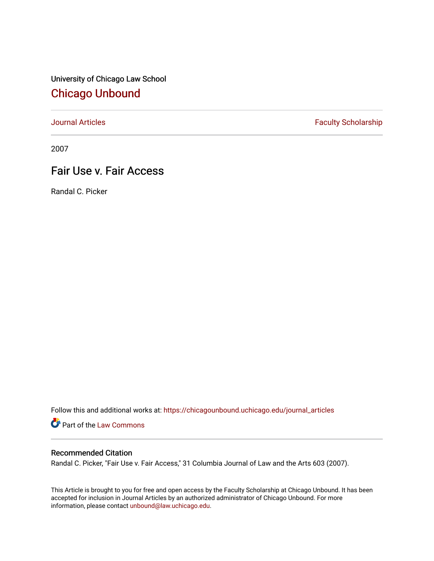University of Chicago Law School [Chicago Unbound](https://chicagounbound.uchicago.edu/)

[Journal Articles](https://chicagounbound.uchicago.edu/journal_articles) **Faculty Scholarship Faculty Scholarship** 

2007

# Fair Use v. Fair Access

Randal C. Picker

Follow this and additional works at: [https://chicagounbound.uchicago.edu/journal\\_articles](https://chicagounbound.uchicago.edu/journal_articles?utm_source=chicagounbound.uchicago.edu%2Fjournal_articles%2F1720&utm_medium=PDF&utm_campaign=PDFCoverPages) 

Part of the [Law Commons](http://network.bepress.com/hgg/discipline/578?utm_source=chicagounbound.uchicago.edu%2Fjournal_articles%2F1720&utm_medium=PDF&utm_campaign=PDFCoverPages)

## Recommended Citation

Randal C. Picker, "Fair Use v. Fair Access," 31 Columbia Journal of Law and the Arts 603 (2007).

This Article is brought to you for free and open access by the Faculty Scholarship at Chicago Unbound. It has been accepted for inclusion in Journal Articles by an authorized administrator of Chicago Unbound. For more information, please contact [unbound@law.uchicago.edu](mailto:unbound@law.uchicago.edu).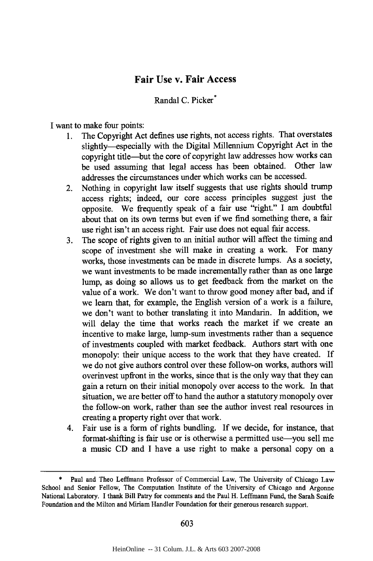### **Fair Use v. Fair Access**

Randal C. Picker<sup>\*</sup>

I want to make four points:

- 1. The Copyright Act defines use rights, not access rights. That overstates slightly--especially with the Digital Millennium Copyright Act in the copyright title-but the core of copyright law addresses how works can be used assuming that legal access has been obtained. Other law addresses the circumstances under which works can be accessed.
- 2. Nothing in copyright law itself suggests that use rights should trump access rights; indeed, our core access principles suggest just the opposite. We frequently speak of a fair use "right." I am doubtful about that on its own terms but even if we find something there, a fair use right isn't an access right. Fair use does not equal fair access.
- 3. The scope of rights given to an initial author will affect the timing and scope of investment she will make in creating a work. For many works, those investments can be made in discrete lumps. As a society, we want investments to be made incrementally rather than as one large lump, as doing so allows us to get feedback from the market on the value of a work. We don't want to throw good money after bad, and if we learn that, for example, the English version of a work is a failure, we don't want to bother translating it into Mandarin. In addition, we will delay the time that works reach the market if we create an incentive to make large, lump-sum investments rather than a sequence of investments coupled with market feedback. Authors start with one monopoly: their unique access to the work that they have created. If we do not give authors control over these follow-on works, authors will overinvest upfront in the works, since that is the only way that they can gain a return on their initial monopoly over access to the work. In that situation, we are better off to hand the author a statutory monopoly over the follow-on work, rather than see the author invest real resources in creating a property right over that work.
- 4. Fair use is a form of rights bundling. If we decide, for instance, that format-shifting is fair use or is otherwise a permitted use—you sell me a music CD and I have a use right to make a personal copy on a

Paul and Theo Leffmann Professor of Commercial Law, The University of Chicago Law School and Senior Fellow, The Computation Institute of the University of Chicago and Argonne National Laboratory. I thank Bill Patry for comments and the Paul H. Leffmann Fund, the Sarah Scaife Foundation and the Milton and Miriam Handler Foundation for their generous research support.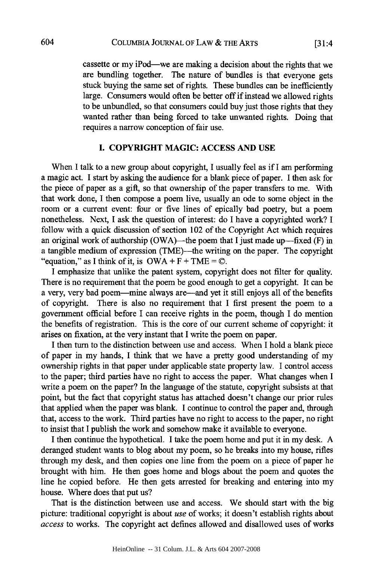[31:4

cassette or my iPod—we are making a decision about the rights that we are bundling together. The nature of bundles is that everyone gets stuck buying the same set of rights. These bundles can be inefficiently large. Consumers would often be better off if instead we allowed rights to be unbundled, so that consumers could buy just those rights that they wanted rather than being forced to take unwanted rights. Doing that requires a narrow conception of fair use.

#### **I. COPYRIGHT MAGIC: ACCESS AND USE**

When I talk to a new group about copyright, I usually feel as if I am performing a magic act. I start by asking the audience for a blank piece of paper. I then ask for the piece of paper as a gift, so that ownership of the paper transfers to me. With that work done, I then compose a poem live, usually an ode to some object in the room or a current event: four or five lines of epically bad poetry, but a poem nonetheless. Next, I ask the question of interest: do I have a copyrighted work? I follow with a quick discussion of section 102 of the Copyright Act which requires an original work of authorship (OWA)—the poem that I just made up—fixed  $(F)$  in a tangible medium of expression (TME)—the writing on the paper. The copyright "equation," as I think of it, is  $OWA + F + TME = \mathbb{Q}$ .

I emphasize that unlike the patent system, copyright does not filter for quality. There is no requirement that the poem be good enough to get a copyright. It can be a very, very bad poem-mine always are-and yet it still enjoys all of the benefits of copyright. There is also no requirement that I first present the poem to a government official before I can receive rights in the poem, though I do mention the benefits of registration. This is the core of our current scheme of copyright: it arises on fixation, at the very instant that I write the poem on paper.

I then turn to the distinction between use and access. When I hold a blank piece of paper in my hands, I think that we have a pretty good understanding of my ownership rights in that paper under applicable state property law. I control access to the paper; third parties have no right to access the paper. What changes when I write a poem on the paper? In the language of the statute, copyright subsists at that point, but the fact that copyright status has attached doesn't change our prior rules that applied when the paper was blank. I continue to control the paper and, through that, access to the work. Third parties have no right to access to the paper, no right to insist that I publish the work and somehow make it available to everyone.

I then continue the hypothetical. I take the poem home and put it in my desk. A deranged student wants to blog about my poem, so he breaks into my house, rifles through my desk, and then copies one line from the poem on a piece of paper he brought with him. He then goes home and blogs about the poem and quotes the line he copied before. He then gets arrested for breaking and entering into my house. Where does that put us?

That is the distinction between use and access. We should start with the big picture: traditional copyright is about *use* of works; it doesn't establish rights about *access* to works. The copyright act defines allowed and disallowed uses of works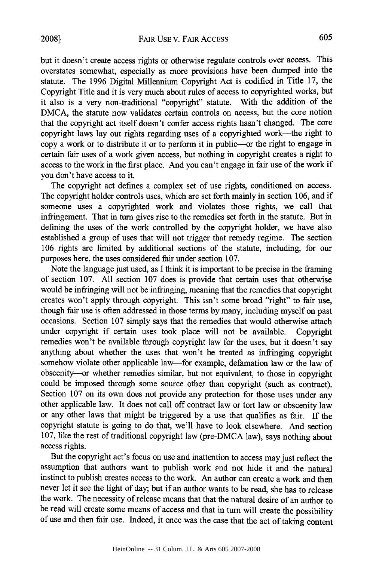but it doesn't create access rights or otherwise regulate controls over access. This overstates somewhat, especially as more provisions have been dumped into the statute. The 1996 Digital Millennium Copyright Act is codified in Title 17, the Copyright Title and it is very much about rules of access to copyrighted works, but it also is a very non-traditional "copyright" statute. With the addition of the DMCA, the statute now validates certain controls on access, but the core notion that the copyright act itself doesn't confer access rights hasn't changed. The core copyright laws lay out rights regarding uses of a copyrighted work-the right to copy a work or to distribute it or to perform it in public-or the right to engage in certain fair uses of a work given access, but nothing in copyright creates a right to access to the work in the first place. And you can't engage in fair use of the work if you don't have access to it.

The copyright act defines a complex set of use rights, conditioned on access. The copyright holder controls uses, which are set forth mainly in section 106, and if someone uses a copyrighted work and violates those rights, we call that infringement. That in turn gives rise to the remedies set forth in the statute. But in defining the uses of the work controlled by the copyright holder, we have also established a group of uses that will not trigger that remedy regime. The section 106 rights are limited by additional sections of the statute, including, for our purposes here, the uses considered fair under section 107.

Note the language just used, as I think it is important to be precise in the framing of section 107. All section 107 does is provide that certain uses that otherwise would be infringing will not be infringing, meaning that the remedies that copyright creates won't apply through copyright. This isn't some broad "right" to fair use, though fair use is often addressed in those terms by many, including myself on past occasions. Section 107 simply says that the remedies that would otherwise attach under copyright if certain uses took place will not be available. Copyright remedies won't be available through copyright law for the uses, but it doesn't say anything about whether the uses that won't be treated as infringing copyright somehow violate other applicable law—for example, defamation law or the law of obscenity-or whether remedies similar, but not equivalent, to those in copyright could be imposed through some source other than copyright (such as contract). Section 107 on its own does not provide any protection for those uses under any other applicable law. It does not call off contract law or tort law or obscenity law or any other laws that might be triggered by a use that qualifies as fair. If the copyright statute is going to do that, we'll have to look elsewhere. And section 107, like the rest of traditional copyright law (pre-DMCA law), says nothing about access rights.

But the copyright act's focus on use and inattention to access may just reflect the assumption that authors want to publish work and not hide it and the natural instinct to publish creates access to the work. An author can create a work and then never let it see the light of day; but if an author wants to be read, she has to release the work. The necessity of release means that that the natural desire of an author to be read will create some means of access and that in turn will create the possibility of use and then fair use. Indeed, it once was the case that the act of taking content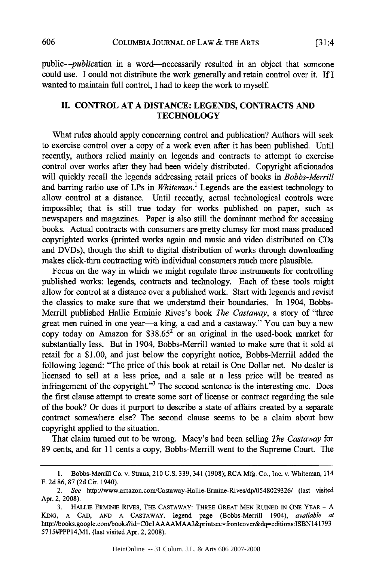*public-publication* in a word-necessarily resulted in an object that someone could use. I could not distribute the work generally and retain control over it. If I wanted to maintain full control, I had to keep the work to myself

#### **H.** CONTROL **AT A DISTANCE: LEGENDS, CONTRACTS AND TECHNOLOGY**

What rules should apply concerning control and publication? Authors will seek to exercise control over a copy of a work even after it has been published. Until recently, authors relied mainly on legends and contracts to attempt to exercise control over works after they had been widely distributed. Copyright aficionados will quickly recall the legends addressing retail prices of books in *Bobbs-Merrill* and barring radio use of LPs in *Whiteman.'* Legends are the easiest technology to allow control at a distance. Until recently, actual technological controls were impossible; that is still true today for works published on paper, such as newspapers and magazines. Paper is also still the dominant method for accessing books. Actual contracts with consumers are pretty clumsy for most mass produced copyrighted works (printed works again and music and video distributed on CDs and DVDs), though the shift to digital distribution of works through downloading makes click-thru contracting with individual consumers much more plausible.

Focus on the way in which we might regulate three instruments for controlling published works: legends, contracts and technology. Each of these tools might allow for control at a distance over a published work. Start with legends and revisit the classics to make sure that we understand their boundaries. In 1904, Bobbs-Merrill published Hallie Erminie Rives's book *The Castaway,* a story of "three great men ruined in one year-a king, a cad and a castaway." You can buy a new copy today on Amazon for  $$38.65^2$  or an original in the used-book market for substantially less. But in 1904, Bobbs-Merrill wanted to make sure that it sold at retail for a \$1.00, and just below the copyright notice, Bobbs-Merrill added the following legend: "The price of this book at retail is One Dollar net. No dealer is licensed to sell at a less price, and a sale at a less price will be treated as infringement of the copyright."<sup>3</sup> The second sentence is the interesting one. Does the first clause attempt to create some sort of license or contract regarding the sale of the book? Or does it purport to describe a state of affairs created by a separate contract somewhere else? The second clause seems to be a claim about how copyright applied to the situation.

That claim turned out to be wrong. Macy's had been selling *The Castaway* for 89 cents, and for 11 cents a copy, Bobbs-Merrill went to the Supreme Court. The

<sup>1.</sup> Bobbs-Merrill Co. v. Straus, 210 U.S. 339,341 (1908); RCA Mfg. Co., Inc. v. Whiteman, 114 F. 2d 86, 87 (2d Cir. 1940).

<sup>2.</sup> See http://www.amazon.com/Castaway-Hallie-Ermine-Rives/dp/0548029326/ (last visited Apr. 2, 2008).

<sup>3.</sup> HALLIE ERMiNiE RIvEs, THE CASTAWAY: THREE GREAT MEN RUINED IN ONE YEAR - **A** KING, A CAD, AND A CASTAWAY, legend page (Bobbs-Merrill 1904), available at http://books.google.com/books?id=COc 1AAAAMAAJ&printsec-frontcover&dq-editions:ISBN141793 5715#PPP14,M1, (last visited Apr. 2, 2008).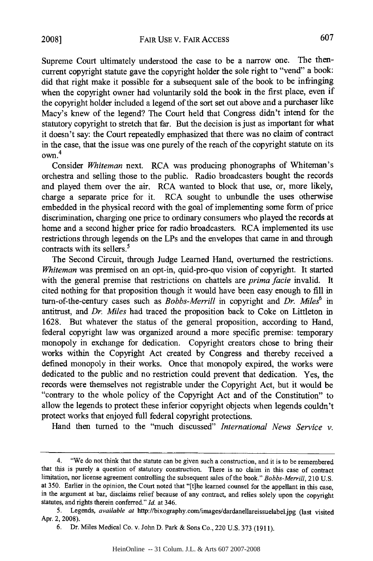Supreme Court ultimately understood the case to be a narrow one. The thencurrent copyright statute gave the copyright holder the sole right to "vend" a book: did that right make it possible for a subsequent sale of the book to be infringing when the copyright owner had voluntarily sold the book in the first place, even if the copyright holder included a legend of the sort set out above and a purchaser like Macy's knew of the legend? The Court held that Congress didn't intend for the statutory copyright to stretch that far. But the decision is just as important for what it doesn't say: the Court repeatedly emphasized that there was no claim of contract in the case, that the issue was one purely of the reach of the copyright statute on its own. 4

Consider *Whiteman* next. RCA was producing phonographs of Whiteman's orchestra and selling those to the public. Radio broadcasters bought the records and played them over the air. RCA wanted to block that use, or, more likely, charge a separate price for it. RCA sought to unbundle the uses otherwise embedded in the physical record with the goal of implementing some form of price discrimination, charging one price to ordinary consumers who played the records at home and a second higher price for radio broadcasters. RCA implemented its use restrictions through legends on the LPs and the envelopes that came in and through contracts with its sellers.<sup>5</sup>

The Second Circuit, through Judge Learned Hand, overturned the restrictions. *Whiteman* was premised on an opt-in, quid-pro-quo vision of copyright. It started with the general premise that restrictions on chattels are *prima facie* invalid. It cited nothing for that proposition though it would have been easy enough to fill in turn-of-the-century cases such as *Bobbs-Merrill* in copyright and *Dr. Miles*<sup>6</sup> in antitrust, and *Dr. Miles* had traced the proposition back to Coke on Littleton in 1628. But whatever the status of the general proposition, according to Hand, federal copyright law was organized around a more specific premise: temporary monopoly in exchange for dedication. Copyright creators chose to bring their works within the Copyright Act created by Congress and thereby received a defined monopoly in their works. Once that monopoly expired, the works were dedicated to the public and no restriction could prevent that dedication. Yes, the records were themselves not registrable under the Copyright Act, but it would be "contrary to the whole policy of the Copyright Act and of the Constitution" to allow the legends to protect these inferior copyright objects when legends couldn't protect works that enjoyed full federal copyright protections.

Hand then turned to the "much discussed" *International News Service v.*

<sup>4. &</sup>quot;We do not think that the statute can be given such a construction, and it is to be remembered that this is purely a question of statutory construction. There is no claim in this case of contract limitation, nor license agreement controlling the subsequent sales of the book." *Bobbs-Merrill,* 210 U.S. at 350. Earlier in the opinion, the Court noted that "[t]he learned counsel for the appellant in this case, in the argument at bar, disclaims relief because of any contract, and relies solely upon the copyright statutes, and rights therein conferred." *Id.* at 346.

<sup>5.</sup> Legends, *available at* http://bixography.com/images/dardanellareissuelabel.jpg (last visited Apr. 2, 2008).

<sup>6.</sup> Dr. Miles Medical Co. v. John D. Park & Sons Co., 220 U.S. 373 (1911).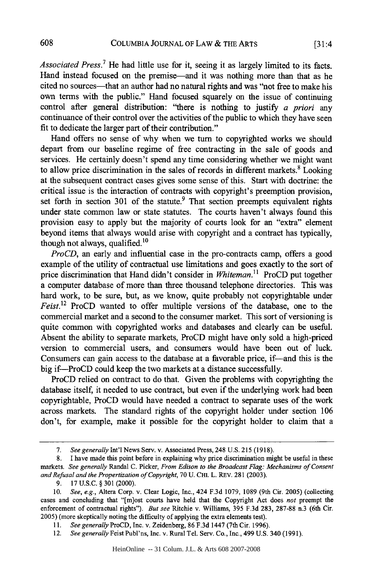[31:4

*Associated Press.7* He had little use for it, seeing it as largely limited to its facts. Hand instead focused on the premise—and it was nothing more than that as he cited no sources-that an author had no natural rights and was "not free to make his own terms with the public." Hand focused squarely on the issue of continuing control after general distribution: "there is nothing to justify *a priori* any continuance of their control over the activities of the public to which they have seen fit to dedicate the larger part of their contribution."

Hand offers no sense of why when we turn to copyrighted works we should depart from our baseline regime of free contracting in the sale of goods and services. He certainly doesn't spend any time considering whether we might want to allow price discrimination in the sales of records in different markets. $8 \text{ Looking}$ at the subsequent contract cases gives some sense of this. Start with doctrine: the critical issue is the interaction of contracts with copyright's preemption provision, set forth in section 301 of the statute.<sup>9</sup> That section preempts equivalent rights under state common law or state statutes. The courts haven't always found this provision easy to apply but the majority of courts look for an "extra" element beyond items that always would arise with copyright and a contract has typically, though not always, qualified. $10$ 

*ProCD*, an early and influential case in the pro-contracts camp, offers a good example of the utility of contractual use limitations and goes exactly to the sort of price discrimination that Hand didn't consider in *Whiteman.11* ProCD put together a computer database of more than three thousand telephone directories. This was hard work, to be sure, but, as we know, quite probably not copyrightable under *Feist.12* ProCD wanted to offer multiple versions of the database, one to the commercial market and a second to the consumer market. This sort of versioning is quite common with copyrighted works and databases and clearly can be useful. Absent the ability to separate markets, ProCD might have only sold a high-priced version to commercial users, and consumers would have been out of luck. Consumers can gain access to the database at a favorable price, if—and this is the big if-ProCD could keep the two markets at a distance successfully.

ProCD relied on contract to do that. Given the problems with copyrighting the database itself, it needed to use contract, but even if the underlying work had been copyrightable, ProCD would have needed a contract to separate uses of the work across markets. The standard rights of the copyright holder under section 106 don't, for example, make it possible for the copyright holder to claim that a

<sup>7.</sup> See generally Int'l News Serv. v. Associated Press, 248 U.S. 215 (1918).

<sup>8.</sup> I have made this point before in explaining why price discrimination might be useful in these markets. See generally Randal C. Picker, From Edison to the Broadcast Flag: Mechanisms of Consent and Refusal and the Propertization of Copyright, 70 U. CHI. L. REv. 281 (2003).

<sup>9. 17</sup> U.S.C. § **301** (2000).

<sup>10.</sup> See, e.g., Altera Corp. v. Clear Logic, Inc., 424 F.3d 1079, 1089 (9th Cir. 2005) (collecting cases and concluding that "[m]ost courts have held that the Copyright Act does not preempt the enforcement of contractual rights"). But see Ritchie v. Williams, 395 F.3d 283, 287-88 n.3 (6th Cir. 2005) (more skeptically noting the difficulty of applying the extra elements test).

**<sup>11.</sup>** See generally ProCD, Inc. v. Zeidenberg, 86 F.3d 1447 (7th Cir. 1996).

<sup>12.</sup> See generally Feist Publ'ns, Inc. v. Rural Tel. Serv. Co., Inc., 499 U.S. 340 (1991).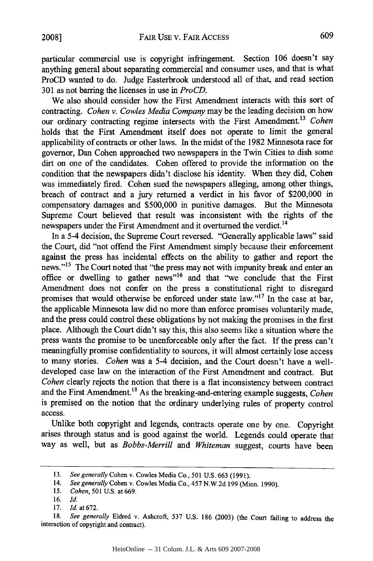particular commercial use is copyright infringement. Section 106 doesn't say anything general about separating commercial and consumer uses, and that is what ProCD wanted to do. Judge Easterbrook understood all of that, and read section 301 as not barring the licenses in use in *ProCD.*

We also should consider how the First Amendment interacts with this sort of contracting. *Cohen v. Cowles Media Company* may be the leading decision on how our ordinary contracting regime intersects with the First Amendment.<sup>13</sup> Cohen holds that the First Amendment itself does not operate to limit the general applicability of contracts or other laws. In the midst of the 1982 Minnesota race for governor, Dan Cohen approached two newspapers in the Twin Cities to dish some dirt on one of the candidates. Cohen offered to provide the information on the condition that the newspapers didn't disclose his identity. When they did, Cohen was immediately fired. Cohen sued the newspapers alleging, among other things, breach of contract and a jury returned a verdict in his favor of \$200,000 in compensatory damages and \$500,000 in punitive damages. But the Minnesota Supreme Court believed that result was inconsistent with the rights of the newspapers under the First Amendment and it overturned the verdict.<sup>14</sup>

In a 5-4 decision, the Supreme Court reversed. "Generally applicable laws" said the Court, did "not offend the First Amendment simply because their enforcement against the press has incidental effects on the ability to gather and report the news."<sup>15</sup> The Court noted that "the press may not with impunity break and enter an office or dwelling to gather news"<sup>16</sup> and that "we conclude that the First Amendment does not confer on the press a constitutional right to disregard promises that would otherwise be enforced under state law."'17 In the case at bar, the applicable Minnesota law did no more than enforce promises voluntarily made, and the press could control these obligations by not making the promises in the first place. Although the Court didn't say this, this also seems like a situation where the press wants the promise to be unenforceable only after the fact. If the press can't meaningfully promise confidentiality to sources, it will almost certainly lose access to many stories. *Cohen* was a 5-4 decision, and the Court doesn't have a welldeveloped case law on the interaction of the First Amendment and contract. But *Cohen* clearly rejects the notion that there is a flat inconsistency between contract and the First Amendment.<sup>18</sup> As the breaking-and-entering example suggests, *Cohen* is premised on the notion that the ordinary underlying rules of property control access.

Unlike both copyright and legends, contracts operate one by one. Copyright arises through status and is good against the world. Legends could operate that way as well, but as *Bobbs-Merrill* and *Whiteman* suggest, courts have been

<sup>13.</sup> *See generally* Cohen v. Cowles Media Co., 501 U.S. 663 (1991).

<sup>14.</sup> *See generally* Cohen v. Cowles Media Co., 457 N.W.2d 199 (Minn. 1990).

*<sup>15.</sup> Cohen,* 501 U.S. at 669.

<sup>16.</sup> *Id.*

<sup>17.</sup> *Id.* at 672.

<sup>18.</sup> *See generally* Eldred v. Ashcroft, 537 U.S. 186 (2003) (the Court failing to address the interaction of copyright and contract).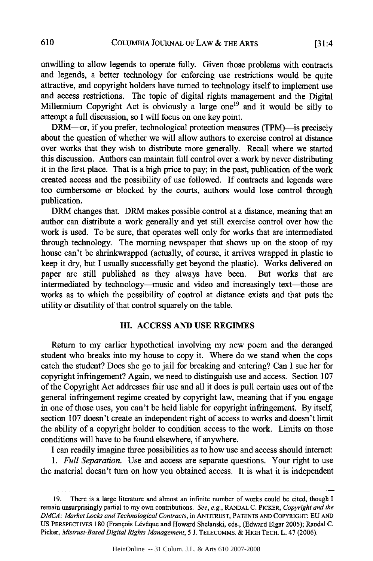unwilling to allow legends to operate fully. Given those problems with contracts and legends, a better technology for enforcing use restrictions would be quite attractive, and copyright holders have turned to technology itself to implement use and access restrictions. The topic of digital rights management and the Digital Millennium Copyright Act is obviously a large one<sup>19</sup> and it would be silly to attempt a full discussion, so I will focus on one key point.

DRM--or, if you prefer, technological protection measures (TPM)--is precisely about the question of whether we will allow authors to exercise control at distance over works that they wish to distribute more generally. Recall where we started this discussion. Authors can maintain full control over a work by never distributing it in the first place. That is a high price to pay; in the past, publication of the work created access and the possibility of use followed. If contracts and legends were too cumbersome or blocked by the courts, authors would lose control through publication.

DRM changes that. DRM makes possible control at a distance, meaning that an author can distribute a work generally and yet still exercise control over how the work is used. To be sure, that operates well only for works that are intermediated through technology. The morning newspaper that shows up on the stoop of my house can't be shrinkwrapped (actually, of course, it arrives wrapped in plastic to keep it dry, but I usually successfully get beyond the plastic). Works delivered on paper are still published as they always have been. But works that are intermediated by technology-music and video and increasingly text-those are works as to which the possibility of control at distance exists and that puts the utility or disutility of that control squarely on the table.

#### **III. ACCESS AND** USE REGIMES

Return to my earlier hypothetical involving my new poem and the deranged student who breaks into my house to copy it. Where do we stand when the cops catch the student? Does she go to jail for breaking and entering? Can I sue her for copyright infringement? Again, we need to distinguish use and access. Section 107 of the Copyright Act addresses fair use and all it does is pull certain uses out of the general infringement regime created by copyright law, meaning that if you engage in one of those uses, you can't be held liable for copyright infringement. By itself, section 107 doesn't create an independent right of access to works and doesn't limit the ability of a copyright holder to condition access to the work. Limits on those conditions will have to be found elsewhere, if anywhere.

I can readily imagine three possibilities as to how use and access should interact:

*1. Full Separation.* Use and access are separate questions. Your right to use the material doesn't turn on how you obtained access. It is what it is independent

<sup>19.</sup> There is a large literature and almost an infinite number of works could be cited, though I remain unsurprisingly partial to my own contributions. *See, e.g.,* RANDAL C. PICKER, *Copyright and the DMCA: Market Locks and Technological Contracts,* in ANTITRUST, PATENTS AND COPYRIGHT: EU AND US PERSPECTIVES 180 (François Lévêque and Howard Shelanski, eds., (Edward Elgar 2005); Randal C. Picker, *Mistrust-Based Digital Rights Management,* 5 J. TELECOMMS. & HIGH TECH. L. 47 (2006).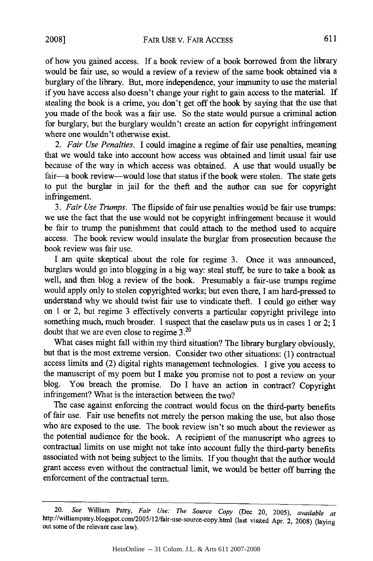of how you gained access. If a book review of a book borrowed from the library would be fair use, so would a review of a review of the same book obtained via a burglary of the library. But, more independence, your immunity to use the material if you have access also doesn't change your right to gain access to the material. If stealing the book is a crime, you don't get off the hook by saying that the use that you made of the book was a fair use. So the state would pursue a criminal action for burglary, but the burglary wouldn't create an action for copyright infringement where one wouldn't otherwise exist.

*2. Fair Use Penalties.* I could imagine a regime of fair use penalties, meaning that we would take into account how access was obtained and limit usual fair use because of the way in which access was obtained. A use that would usually be fair-a book review-would lose that status if the book were stolen. The state gets to put the burglar in jail for the theft and the author can sue for copyright infringement.

*3. Fair Use Trumps.* The flipside of fair use penalties would be fair use trumps: we use the fact that the use would not be copyright infringement because it would be fair to trump the punishment that could attach to the method used to acquire access. The book review would insulate the burglar from prosecution because the book review was fair use.

I am quite skeptical about the role for regime 3. Once it was announced, burglars would go into blogging in a big way: steal stuff, be sure to take a book as well, and then blog a review of the book. Presumably a fair-use trumps regime would apply only to stolen copyrighted works; but even there, I am hard-pressed to understand why we should twist fair use to vindicate theft. I could go either way on 1 or 2, but regime 3 effectively converts a particular copyright privilege into something much, much broader. I suspect that the caselaw puts us in cases 1 or 2; I doubt that we are even close to regime 3.2°

What cases might fall within my third situation? The library burglary obviously, but that is the most extreme version. Consider two other situations: (1) contractual access limits and (2) digital rights management technologies. I give you access to the manuscript of my poem but I make you promise not to post a review on your blog. You breach the promise. Do I have an action in contract? Copyright infringement? What is the interaction between the two?

The case against enforcing the contract would focus on the third-party benefits of fair use. Fair use benefits not merely the person making the use, but also those who are exposed to the use. The book review isn't so much about the reviewer as the potential audience for the book. A recipient of the manuscript who agrees to contractual limits on use might not take into account fully the third-party benefits associated with not being subject to the limits. If you thought that the author would grant access even without the contractual limit, we would be better off barring the enforcement of the contractual term.

<sup>20.</sup> *See* William Patry, *Fair Use: The Source Copy* (Dec 20, 2005), *available at* http://williampatry.blogspot.com/2005/12/fair-use-source-copy.html (last visited Apr. 2, 2008) (laying out some of the relevant case law).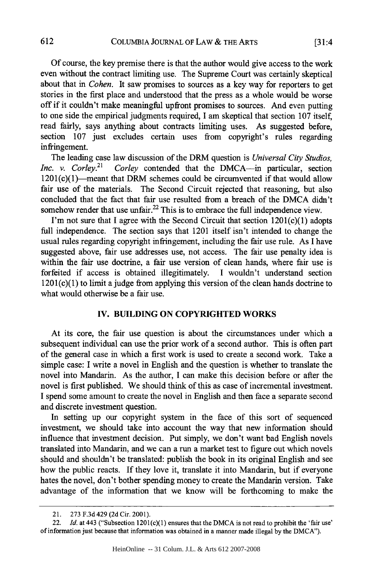Of course, the key premise there is that the author would give access to the work even without the contract limiting use. The Supreme Court was certainly skeptical about that in *Cohen.* It saw promises to sources as a key way for reporters to get stories in the first place and understood that the press as a whole would be worse off if it couldn't make meaningful upfront promises to sources. And even putting to one side the empirical judgments required, I am skeptical that section 107 itself, read fairly, says anything about contracts limiting uses. As suggested before, section 107 just excludes certain uses from copyright's rules regarding infringement.

The leading case law discussion of the DRM question is *Universal City Studios, Inc. v. Corley.*<sup>21</sup> *Corley* contended that the DMCA-in particular, section  $1201(c)(1)$ -meant that DRM schemes could be circumvented if that would allow fair use of the materials. The Second Circuit rejected that reasoning, but also concluded that the fact that fair use resulted from a breach of the DMCA didn't somehow render that use unfair. $^{22}$  This is to embrace the full independence view.

I'm not sure that I agree with the Second Circuit that section  $1201(c)(1)$  adopts full independence. The section says that 1201 itself isn't intended to change the usual rules regarding copyright infringement, including the fair use rule. As I have suggested above, fair use addresses use, not access. The fair use penalty idea is within the fair use doctrine, a fair use version of clean hands, where fair use is forfeited if access is obtained illegitimately. I wouldn't understand section  $1201(c)(1)$  to limit a judge from applying this version of the clean hands doctrine to what would otherwise be a fair use.

#### IV. **BUILDING ON** COPYRIGHTED WORKS

At its core, the fair use question is about the circumstances under which a subsequent individual can use the prior work of a second author. This is often part of the general case in which a first work is used to create a second work. Take a simple case: I write a novel in English and the question is whether to translate the novel into Mandarin. As the author, I can make this decision before or after the novel is first published. We should think of this as case of incremental investment. I spend some amount to create the novel in English and then face a separate second and discrete investment question.

In setting up our copyright system in the face of this sort of sequenced investment, we should take into account the way that new information should influence that investment decision. Put simply, we don't want bad English novels translated into Mandarin, and we can a run a market test to figure out which novels should and shouldn't be translated: publish the book in its original English and see how the public reacts. If they love it, translate it into Mandarin, but if everyone hates the novel, don't bother spending money to create the Mandarin version. Take advantage of the information that we know will be forthcoming to make the

<sup>21. 273</sup> F.3d 429 (2d Cir. 2001).

<sup>22.</sup> *Id.* at 443 ("Subsection  $1201(c)(1)$  ensures that the DMCA is not read to prohibit the 'fair use' of information just because that information was obtained in a manner made illegal by the DMCA").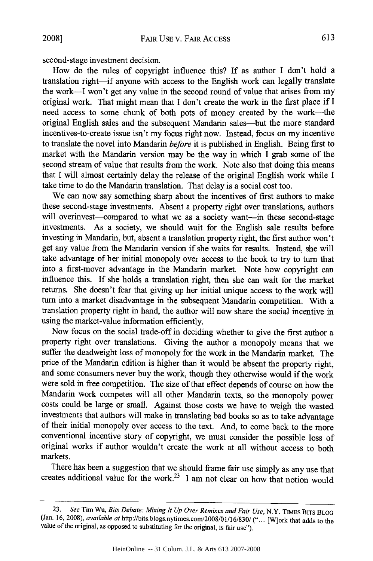second-stage investment decision.

How do the rules of copyright influence this? If as author I don't hold a translation right-if anyone with access to the English work can legally translate the work-I won't get any value in the second round of value that arises from my original work. That might mean that I don't create the work in the first place if I need access to some chunk of both pots of money created by the work-the original English sales and the subsequent Mandarin sales-but the more standard incentives-to-create issue isn't my focus right now. Instead, focus on my incentive to translate the novel into Mandarin *before* it is published in English. Being first to market with the Mandarin version may be the way in which I grab some of the second stream of value that results from the work. Note also that doing this means that I will almost certainly delay the release of the original English work while I take time to do the Mandarin translation. That delay is a social cost too.

We can now say something sharp about the incentives of first authors to make these second-stage investments. Absent a property right over translations, authors will overinvest-compared to what we as a society want-in these second-stage investments. As a society, we should wait for the English sale results before investing in Mandarin, but, absent a translation property right, the first author won't get any value from the Mandarin version if she waits for results. Instead, she will take advantage of her initial monopoly over access to the book to try to turn that into a first-mover advantage in the Mandarin market. Note how copyright can influence this. If she holds a translation right, then she can wait for the market returns. She doesn't fear that giving up her initial unique access to the work will turn into a market disadvantage in the subsequent Mandarin competition. With a translation property right in hand, the author will now share the social incentive in using the market-value information efficiently.

Now focus on the social trade-off in deciding whether to give the first author a property right over translations. Giving the author a monopoly means that we suffer the deadweight loss of monopoly for the work in the Mandarin market. The price of the Mandarin edition is higher than it would be absent the property right, and some consumers never buy the work, though they otherwise would if the work were sold in free competition. The size of that effect depends of course on how the Mandarin work competes will all other Mandarin texts, so the monopoly power costs could be large or small. Against those costs we have to weigh the wasted investments that authors will make in translating bad books so as to take advantage of their initial monopoly over access to the text. And, to come back to the more conventional incentive story of copyright, we must consider the possible loss of original works if author wouldn't create the work at all without access to both markets.

There has been a suggestion that we should frame fair use simply as any use that creates additional value for the work.<sup>23</sup> I am not clear on how that notion would

<sup>23.</sup> *See* Tim Wu, *Bits Debate: Mixing It Up Over Remixes and Fair Use,* N.Y. TIMES BITS BLOG (Jan. 16, 2008), *available at* http://bits.blogs.nytimes.com/2008/01/16/830/("... [W]ork that adds to the value of the original, as opposed to substituting for the original, is fair use").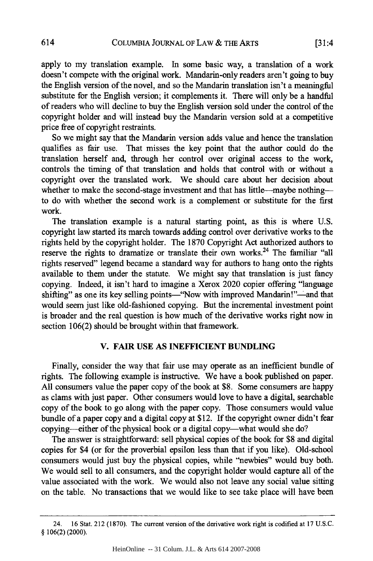apply to my translation example. In some basic way, a translation of a work doesn't compete with the original work. Mandarin-only readers aren't going to buy the English version of the novel, and so the Mandarin translation isn't a meaningful substitute for the English version; it complements it. There will only be a handful of readers who will decline to buy the English version sold under the control of the copyright holder and will instead buy the Mandarin version sold at a competitive price free of copyright restraints.

So we might say that the Mandarin version adds value and hence the translation qualifies as fair use. That misses the key point that the author could do the translation herself and, through her control over original access to the work, controls the timing of that translation and holds that control with or without a copyright over the translated work. We should care about her decision about whether to make the second-stage investment and that has little-maybe nothingto do with whether the second work is a complement or substitute for the first work.

The translation example is a natural starting point, as this is where U.S. copyright law started its march towards adding control over derivative works to the rights held by the copyright holder. The 1870 Copyright Act authorized authors to reserve the rights to dramatize or translate their own works.<sup>24</sup> The familiar "all rights reserved" legend became a standard way for authors to hang onto the rights available to them under the statute. We might say that translation is just fancy copying. Indeed, it isn't hard to imagine a Xerox 2020 copier offering "language shifting" as one its key selling points-"Now with improved Mandarin!"-and that would seem just like old-fashioned copying. But the incremental investment point is broader and the real question is how much of the derivative works right now in section 106(2) should be brought within that framework.

#### V. FAIR **USE AS INEFFICIENT BUNDLING**

Finally, consider the way that fair use may operate as an inefficient bundle of rights. The following example is instructive. We have a book published on paper. All consumers value the paper copy of the book at \$8. Some consumers are happy as clams with just paper. Other consumers would love to have a digital, searchable copy of the book to go along with the paper copy. Those consumers would value bundle of a paper copy and a digital copy at \$12. If the copyright owner didn't fear copying-either of the physical book or a digital copy-what would she do?

The answer is straightforward: sell physical copies of the book for \$8 and digital copies for \$4 (or for the proverbial epsilon less than that if you like). Old-school consumers would just buy the physical copies, while "newbies" would buy both. We would sell to all consumers, and the copyright holder would capture all of the value associated with the work. We would also not leave any social value sitting on the table. No transactions that we would like to see take place will have been

<sup>24. 16</sup> Stat. 212 (1870). The current version of the derivative work right is codified at 17 U.S.C. § 106(2) (2000).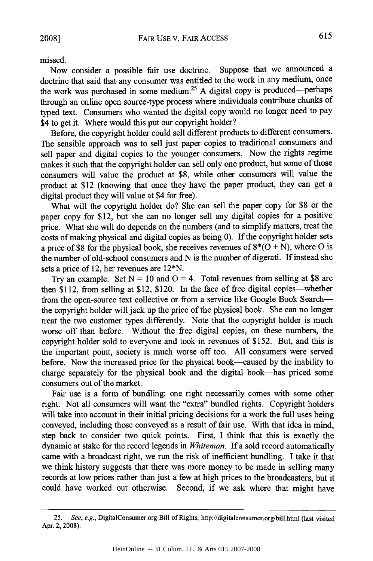missed.

Now consider a possible fair use doctrine. Suppose that we announced a doctrine that said that any consumer was entitled to the work in any medium, once the work was purchased in some medium.<sup>25</sup> A digital copy is produced-perhaps through an online open source-type process where individuals contribute chunks of typed text. Consumers who wanted the digital copy would no longer need to pay \$4 to get it. Where would this put our copyright holder?

Before, the copyright holder could sell different products to different consumers. The sensible approach was to sell just paper copies to traditional consumers and sell paper and digital copies to the younger consumers. Now the rights regime makes it such that the copyright holder can sell only one product, but some of those consumers will value the product at \$8, while other consumers will value the product at \$12 (knowing that once they have the paper product, they can get a digital product they will value at \$4 for free).

What will the copyright holder do? She can sell the paper copy for \$8 or the paper copy for \$12, but she can no longer sell any digital copies for a positive price. What she will do depends on the numbers (and to simplify matters, treat the costs of making physical and digital copies as being 0). If the copyright holder sets a price of \$8 for the physical book, she receives revenues of 8\*(0 + N), where **0** is the number of old-school consumers and N is the number of digerati. If instead she sets a price of 12, her revenues are 12\*N.

Try an example. Set  $N = 10$  and  $O = 4$ . Total revenues from selling at \$8 are then \$112, from selling at \$12, \$120. In the face of free digital copies-whether from the open-source text collective or from a service like Google Book Searchthe copyright holder will jack up the price of the physical book. She can no longer treat the two customer types differently. Note that the copyright holder is much worse off than before. Without the free digital copies, on these numbers, the copyright holder sold to everyone and took in revenues of \$152. But, and this is the important point, society is much worse off too. All consumers were served before. Now the increased price for the physical book-caused by the inability to charge separately for the physical book and the digital book-has priced some consumers out of the market.

Fair use is a form of bundling: one right necessarily comes with some other right. Not all consumers will want the "extra" bundled rights. Copyright holders will take into account in their initial pricing decisions for a work the full uses being conveyed, including those conveyed as a result of fair use. With that idea in mind, step back to consider two quick points. First, I think that this is exactly the dynamic at stake for the record legends in *Whiteman.* If a sold record automatically came with a broadcast right, we run the risk of inefficient bundling. I take it that we think history suggests that there was more money to be made in selling many records at low prices rather than just a few at high prices to the broadcasters, but it could have worked out otherwise. Second, if we ask where that might have

<sup>25.</sup> See, e.g., DigitalConsumer.org Bill of Rights, http://digitalconsumer.org/bill.html (last visited Apr. 2, 2008).